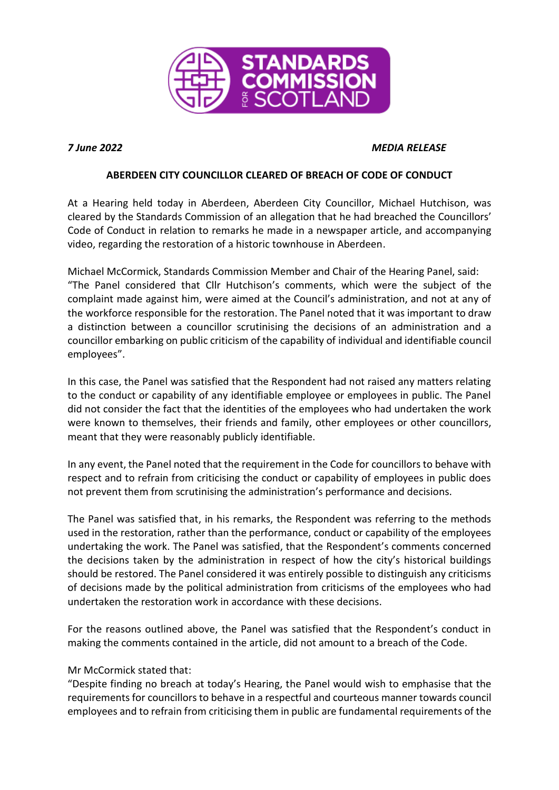

# *7 June 2022 MEDIA RELEASE*

# **ABERDEEN CITY COUNCILLOR CLEARED OF BREACH OF CODE OF CONDUCT**

At a Hearing held today in Aberdeen, Aberdeen City Councillor, Michael Hutchison, was cleared by the Standards Commission of an allegation that he had breached the Councillors' Code of Conduct in relation to remarks he made in a newspaper article, and accompanying video, regarding the restoration of a historic townhouse in Aberdeen.

Michael McCormick, Standards Commission Member and Chair of the Hearing Panel, said: "The Panel considered that Cllr Hutchison's comments, which were the subject of the complaint made against him, were aimed at the Council's administration, and not at any of the workforce responsible for the restoration. The Panel noted that it was important to draw a distinction between a councillor scrutinising the decisions of an administration and a councillor embarking on public criticism of the capability of individual and identifiable council employees".

In this case, the Panel was satisfied that the Respondent had not raised any matters relating to the conduct or capability of any identifiable employee or employees in public. The Panel did not consider the fact that the identities of the employees who had undertaken the work were known to themselves, their friends and family, other employees or other councillors, meant that they were reasonably publicly identifiable.

In any event, the Panel noted that the requirement in the Code for councillors to behave with respect and to refrain from criticising the conduct or capability of employees in public does not prevent them from scrutinising the administration's performance and decisions.

The Panel was satisfied that, in his remarks, the Respondent was referring to the methods used in the restoration, rather than the performance, conduct or capability of the employees undertaking the work. The Panel was satisfied, that the Respondent's comments concerned the decisions taken by the administration in respect of how the city's historical buildings should be restored. The Panel considered it was entirely possible to distinguish any criticisms of decisions made by the political administration from criticisms of the employees who had undertaken the restoration work in accordance with these decisions.

For the reasons outlined above, the Panel was satisfied that the Respondent's conduct in making the comments contained in the article, did not amount to a breach of the Code.

### Mr McCormick stated that:

"Despite finding no breach at today's Hearing, the Panel would wish to emphasise that the requirementsfor councillors to behave in a respectful and courteous manner towards council employees and to refrain from criticising them in public are fundamental requirements of the